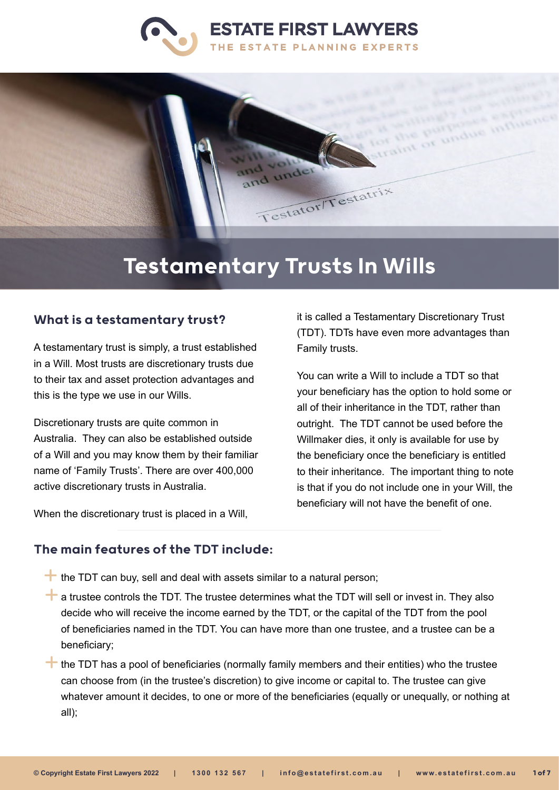



# Testamentary Trusts In Wills

#### What is a testamentary trust?

A testamentary trust is simply, a trust established in a Will. Most trusts are discretionary trusts due to their tax and asset protection advantages and this is the type we use in our Wills.

Discretionary trusts are quite common in Australia. They can also be established outside of a Will and you may know them by their familiar name of 'Family Trusts'. There are over 400,000 active discretionary trusts in Australia.

When the discretionary trust is placed in a Will,

it is called a Testamentary Discretionary Trust (TDT). TDTs have even more advantages than Family trusts.

You can write a Will to include a TDT so that your beneficiary has the option to hold some or all of their inheritance in the TDT, rather than outright. The TDT cannot be used before the Willmaker dies, it only is available for use by the beneficiary once the beneficiary is entitled to their inheritance. The important thing to note is that if you do not include one in your Will, the beneficiary will not have the benefit of one.

#### The main features of the TDT include:

- $\pm$  the TDT can buy, sell and deal with assets similar to a natural person;
- $\pm$  a trustee controls the TDT. The trustee determines what the TDT will sell or invest in. They also decide who will receive the income earned by the TDT, or the capital of the TDT from the pool of beneficiaries named in the TDT. You can have more than one trustee, and a trustee can be a beneficiary;

 $\pm$  the TDT has a pool of beneficiaries (normally family members and their entities) who the trustee can choose from (in the trustee's discretion) to give income or capital to. The trustee can give whatever amount it decides, to one or more of the beneficiaries (equally or unequally, or nothing at all);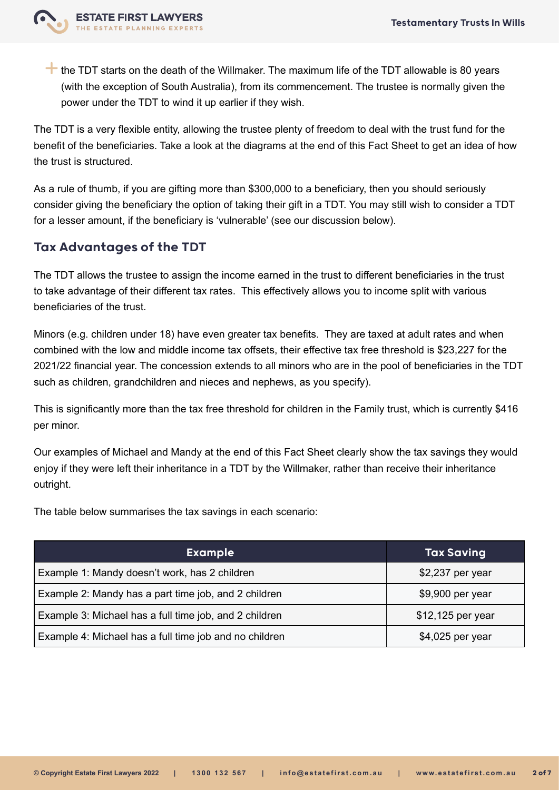

 $\pm$  the TDT starts on the death of the Willmaker. The maximum life of the TDT allowable is 80 years (with the exception of South Australia), from its commencement. The trustee is normally given the power under the TDT to wind it up earlier if they wish.

The TDT is a very flexible entity, allowing the trustee plenty of freedom to deal with the trust fund for the benefit of the beneficiaries. Take a look at the diagrams at the end of this Fact Sheet to get an idea of how the trust is structured.

As a rule of thumb, if you are gifting more than \$300,000 to a beneficiary, then you should seriously consider giving the beneficiary the option of taking their gift in a TDT. You may still wish to consider a TDT for a lesser amount, if the beneficiary is 'vulnerable' (see our discussion below).

### Tax Advantages of the TDT

The TDT allows the trustee to assign the income earned in the trust to different beneficiaries in the trust to take advantage of their different tax rates. This effectively allows you to income split with various beneficiaries of the trust.

Minors (e.g. children under 18) have even greater tax benefits. They are taxed at adult rates and when combined with the low and middle income tax offsets, their effective tax free threshold is \$23,227 for the 2021/22 financial year. The concession extends to all minors who are in the pool of beneficiaries in the TDT such as children, grandchildren and nieces and nephews, as you specify).

This is significantly more than the tax free threshold for children in the Family trust, which is currently \$416 per minor.

Our examples of Michael and Mandy at the end of this Fact Sheet clearly show the tax savings they would enjoy if they were left their inheritance in a TDT by the Willmaker, rather than receive their inheritance outright.

The table below summarises the tax savings in each scenario:

| <b>Example</b>                                         | <b>Tax Saving</b>  |
|--------------------------------------------------------|--------------------|
| Example 1: Mandy doesn't work, has 2 children          | \$2,237 per year   |
| Example 2: Mandy has a part time job, and 2 children   | \$9,900 per year   |
| Example 3: Michael has a full time job, and 2 children | $$12,125$ per year |
| Example 4: Michael has a full time job and no children | \$4,025 per year   |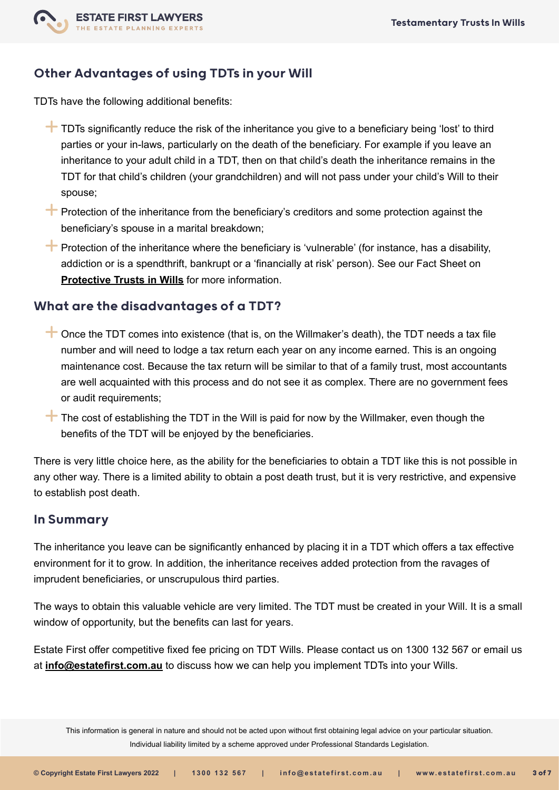

## Other Advantages of using TDTs in your Will

TDTs have the following additional benefits:

- $\pm$  TDTs significantly reduce the risk of the inheritance you give to a beneficiary being 'lost' to third parties or your in-laws, particularly on the death of the beneficiary. For example if you leave an inheritance to your adult child in a TDT, then on that child's death the inheritance remains in the TDT for that child's children (your grandchildren) and will not pass under your child's Will to their spouse;
- $\pm$  Protection of the inheritance from the beneficiary's creditors and some protection against the beneficiary's spouse in a marital breakdown;
- $\biguparrow$  Protection of the inheritance where the beneficiary is 'vulnerable' (for instance, has a disability, addiction or is a spendthrift, bankrupt or a 'financially at risk' person). See our Fact Sheet on **[Protective Trusts in Wills](https://www.estatefirst.com.au/estate-planning/protective-trust)** for more information.

#### What are the disadvantages of a TDT?

- $\pm$  Once the TDT comes into existence (that is, on the Willmaker's death), the TDT needs a tax file number and will need to lodge a tax return each year on any income earned. This is an ongoing maintenance cost. Because the tax return will be similar to that of a family trust, most accountants are well acquainted with this process and do not see it as complex. There are no government fees or audit requirements;
- $\uparrow$  The cost of establishing the TDT in the Will is paid for now by the Willmaker, even though the benefits of the TDT will be enjoyed by the beneficiaries.

There is very little choice here, as the ability for the beneficiaries to obtain a TDT like this is not possible in any other way. There is a limited ability to obtain a post death trust, but it is very restrictive, and expensive to establish post death.

#### In Summary

The inheritance you leave can be significantly enhanced by placing it in a TDT which offers a tax effective environment for it to grow. In addition, the inheritance receives added protection from the ravages of imprudent beneficiaries, or unscrupulous third parties.

The ways to obtain this valuable vehicle are very limited. The TDT must be created in your Will. It is a small window of opportunity, but the benefits can last for years.

Estate First offer competitive fixed fee pricing on TDT Wills. Please contact us on 1300 132 567 or email us at **[info@estatefirst.com.au](mailto:info%40estatefirst.com.au?subject=Testamentary%20Trusts%20Factsheet)** to discuss how we can help you implement TDTs into your Wills.

This information is general in nature and should not be acted upon without first obtaining legal advice on your particular situation. Individual liability limited by a scheme approved under Professional Standards Legislation.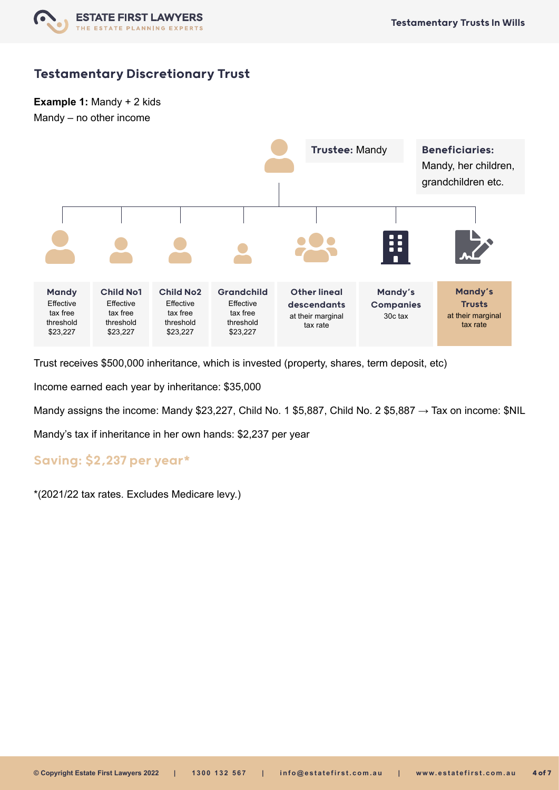

**Example 1:** Mandy + 2 kids Mandy – no other income



Trust receives \$500,000 inheritance, which is invested (property, shares, term deposit, etc)

Income earned each year by inheritance: \$35,000

Mandy assigns the income: Mandy \$23,227, Child No. 1 \$5,887, Child No. 2 \$5,887 → Tax on income: \$NIL

Mandy's tax if inheritance in her own hands: \$2,237 per year

### Saving: \$2,237 per year\*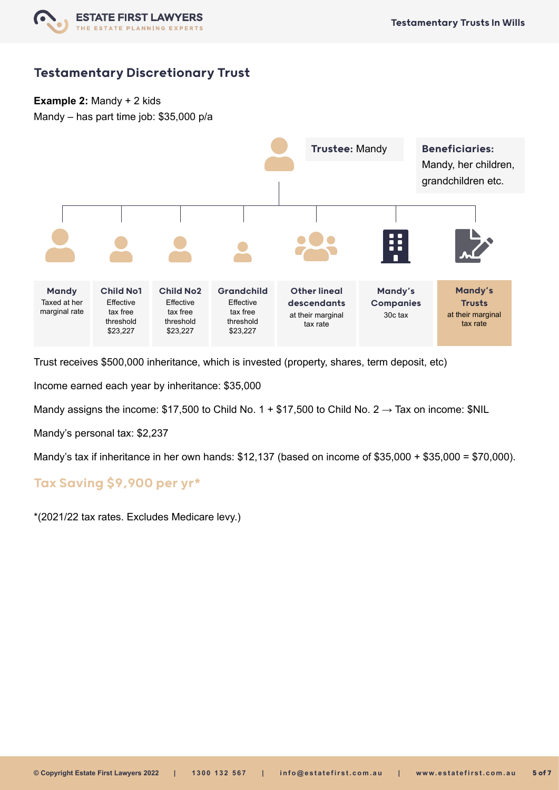

**Example 2:** Mandy + 2 kids

Mandy – has part time job: \$35,000 p/a



Trust receives \$500,000 inheritance, which is invested (property, shares, term deposit, etc)

Income earned each year by inheritance: \$35,000

Mandy assigns the income: \$17,500 to Child No. 1 + \$17,500 to Child No. 2  $\rightarrow$  Tax on income: \$NIL

Mandy's personal tax: \$2,237

Mandy's tax if inheritance in her own hands: \$12,137 (based on income of \$35,000 + \$35,000 = \$70,000).

## Tax Saving \$9,900 per yr\*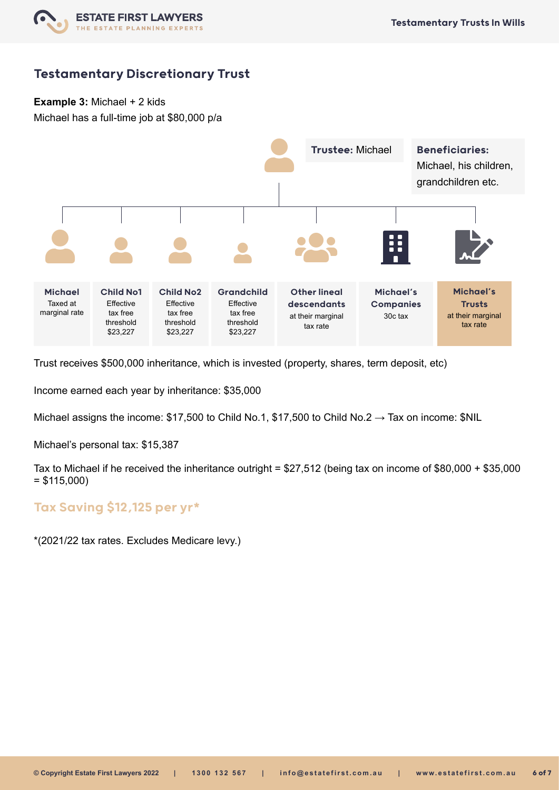

**Example 3:** Michael + 2 kids

Michael has a full-time job at \$80,000 p/a



Trust receives \$500,000 inheritance, which is invested (property, shares, term deposit, etc)

Income earned each year by inheritance: \$35,000

Michael assigns the income: \$17,500 to Child No.1, \$17,500 to Child No.2  $\rightarrow$  Tax on income: \$NIL

Michael's personal tax: \$15,387

Tax to Michael if he received the inheritance outright = \$27,512 (being tax on income of \$80,000 + \$35,000  $= $115,000$ 

#### Tax Saving \$12,125 per yr\*